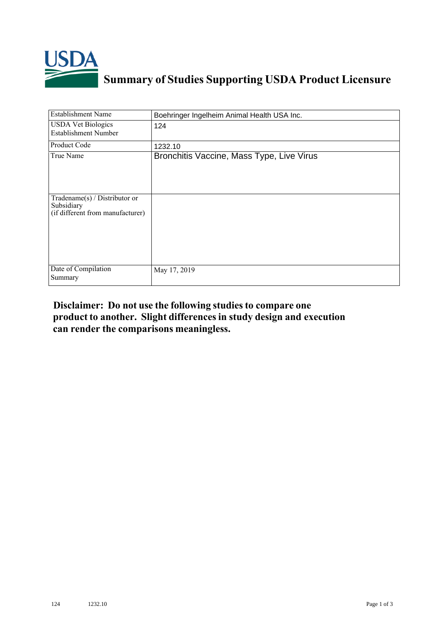

## **Summary of Studies Supporting USDA Product Licensure**

| <b>Establishment Name</b>                                                       | Boehringer Ingelheim Animal Health USA Inc. |
|---------------------------------------------------------------------------------|---------------------------------------------|
| <b>USDA Vet Biologics</b><br><b>Establishment Number</b>                        | 124                                         |
| Product Code                                                                    | 1232.10                                     |
| True Name                                                                       | Bronchitis Vaccine, Mass Type, Live Virus   |
| Tradename(s) / Distributor or<br>Subsidiary<br>(if different from manufacturer) |                                             |
| Date of Compilation<br>Summary                                                  | May 17, 2019                                |

## **Disclaimer: Do not use the following studiesto compare one product to another. Slight differencesin study design and execution can render the comparisons meaningless.**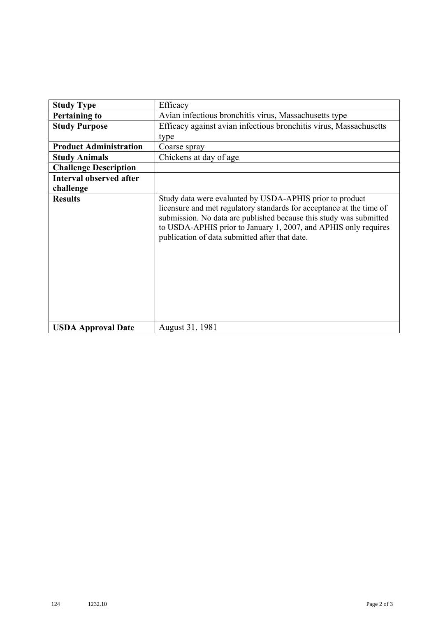| <b>Study Type</b>              | Efficacy                                                                                                                                                                                                                                                                                                                    |
|--------------------------------|-----------------------------------------------------------------------------------------------------------------------------------------------------------------------------------------------------------------------------------------------------------------------------------------------------------------------------|
| <b>Pertaining to</b>           | Avian infectious bronchitis virus, Massachusetts type                                                                                                                                                                                                                                                                       |
| <b>Study Purpose</b>           | Efficacy against avian infectious bronchitis virus, Massachusetts                                                                                                                                                                                                                                                           |
|                                | type                                                                                                                                                                                                                                                                                                                        |
| <b>Product Administration</b>  | Coarse spray                                                                                                                                                                                                                                                                                                                |
| <b>Study Animals</b>           | Chickens at day of age                                                                                                                                                                                                                                                                                                      |
| <b>Challenge Description</b>   |                                                                                                                                                                                                                                                                                                                             |
| <b>Interval observed after</b> |                                                                                                                                                                                                                                                                                                                             |
| challenge                      |                                                                                                                                                                                                                                                                                                                             |
| <b>Results</b>                 | Study data were evaluated by USDA-APHIS prior to product<br>licensure and met regulatory standards for acceptance at the time of<br>submission. No data are published because this study was submitted<br>to USDA-APHIS prior to January 1, 2007, and APHIS only requires<br>publication of data submitted after that date. |
| <b>USDA Approval Date</b>      | August 31, 1981                                                                                                                                                                                                                                                                                                             |